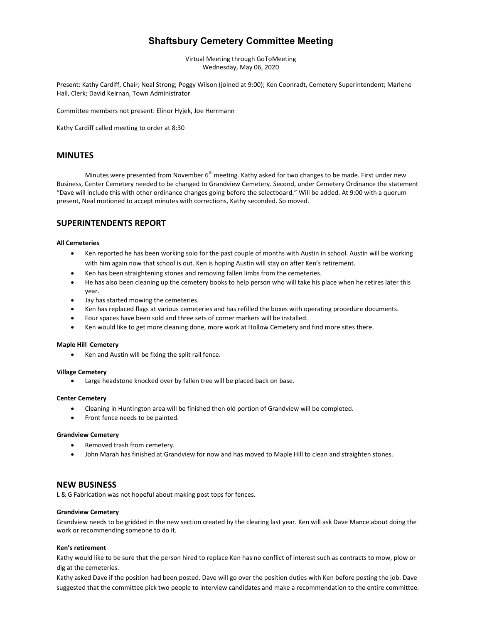# **Shaftsbury Cemetery Committee Meeting**

Virtual Meeting through GoToMeeting Wednesday, May 06, 2020

Present: Kathy Cardiff, Chair; Neal Strong; Peggy Wilson (joined at 9:00); Ken Coonradt, Cemetery Superintendent; Marlene Hall, Clerk; David Keirnan, Town Administrator

Committee members not present: Elinor Hyjek, Joe Herrmann

Kathy Cardiff called meeting to order at 8:30

# **MINUTES**

Minutes were presented from November 6<sup>th</sup> meeting. Kathy asked for two changes to be made. First under new Business, Center Cemetery needed to be changed to Grandview Cemetery. Second, under Cemetery Ordinance the statement "Dave will include this with other ordinance changes going before the selectboard." Will be added. At 9:00 with a quorum present, Neal motioned to accept minutes with corrections, Kathy seconded. So moved.

# **SUPERINTENDENTS REPORT**

## **All Cemeteries**

- Ken reported he has been working solo for the past couple of months with Austin in school. Austin will be working with him again now that school is out. Ken is hoping Austin will stay on after Ken's retirement.
- Ken has been straightening stones and removing fallen limbs from the cemeteries.
- He has also been cleaning up the cemetery books to help person who will take his place when he retires later this year.
- Jay has started mowing the cemeteries.
- Ken has replaced flags at various cemeteries and has refilled the boxes with operating procedure documents.
- Four spaces have been sold and three sets of corner markers will be installed.
- Ken would like to get more cleaning done, more work at Hollow Cemetery and find more sites there.

#### **Maple Hill Cemetery**

Ken and Austin will be fixing the split rail fence.

#### **Village Cemetery**

Large headstone knocked over by fallen tree will be placed back on base.

#### **Center Cemetery**

- Cleaning in Huntington area will be finished then old portion of Grandview will be completed.
- Front fence needs to be painted.

#### **Grandview Cemetery**

- Removed trash from cemetery.
- John Marah has finished at Grandview for now and has moved to Maple Hill to clean and straighten stones.

# **NEW BUSINESS**

L & G Fabrication was not hopeful about making post tops for fences.

#### **Grandview Cemetery**

Grandview needs to be gridded in the new section created by the clearing last year. Ken will ask Dave Mance about doing the work or recommending someone to do it.

#### **Ken's retirement**

Kathy would like to be sure that the person hired to replace Ken has no conflict of interest such as contracts to mow, plow or dig at the cemeteries.

Kathy asked Dave if the position had been posted. Dave will go over the position duties with Ken before posting the job. Dave suggested that the committee pick two people to interview candidates and make a recommendation to the entire committee.